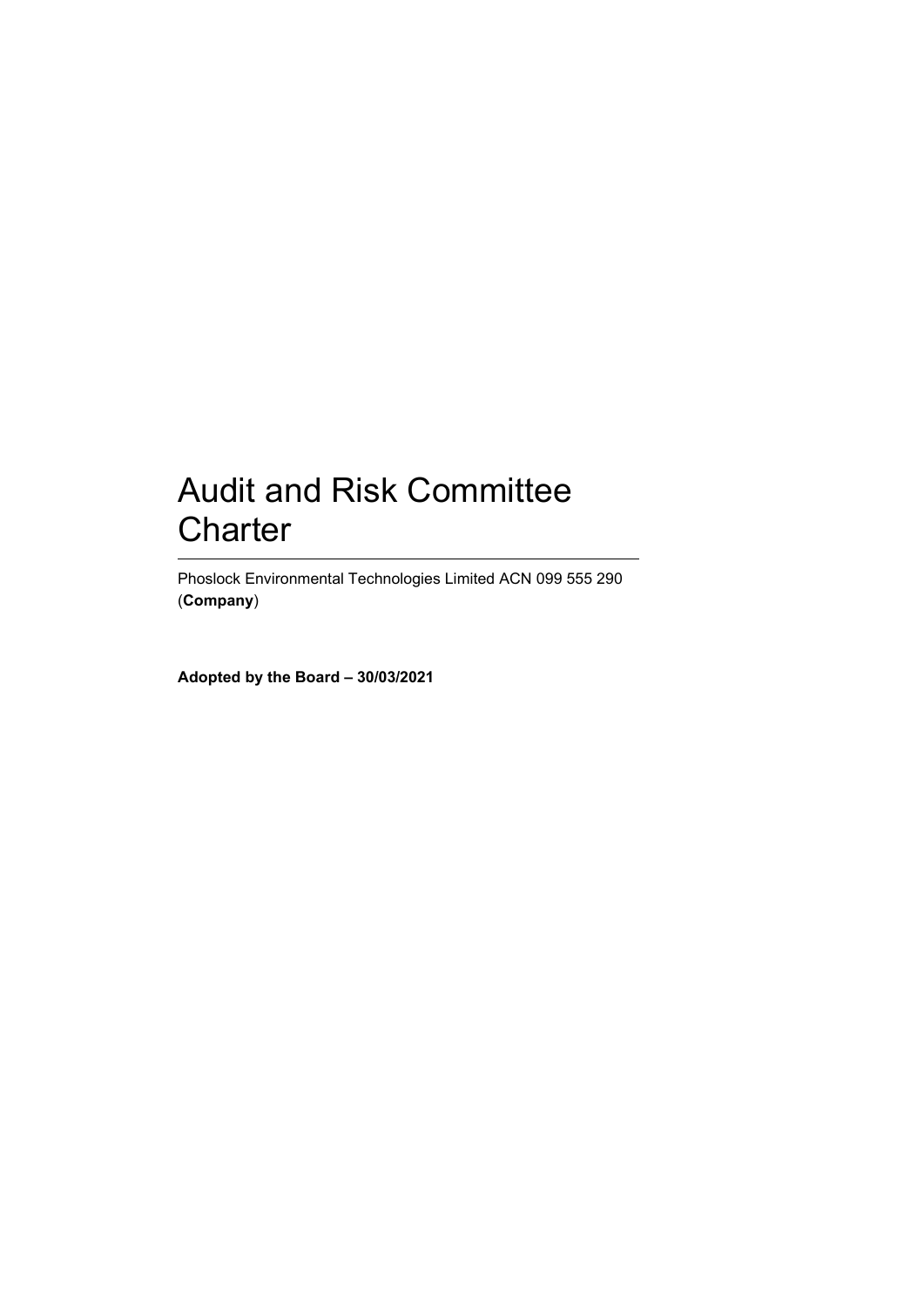# Audit and Risk Committee **Charter**

Phoslock Environmental Technologies Limited ACN 099 555 290 (**Company**)

**Adopted by the Board – 30/03/2021**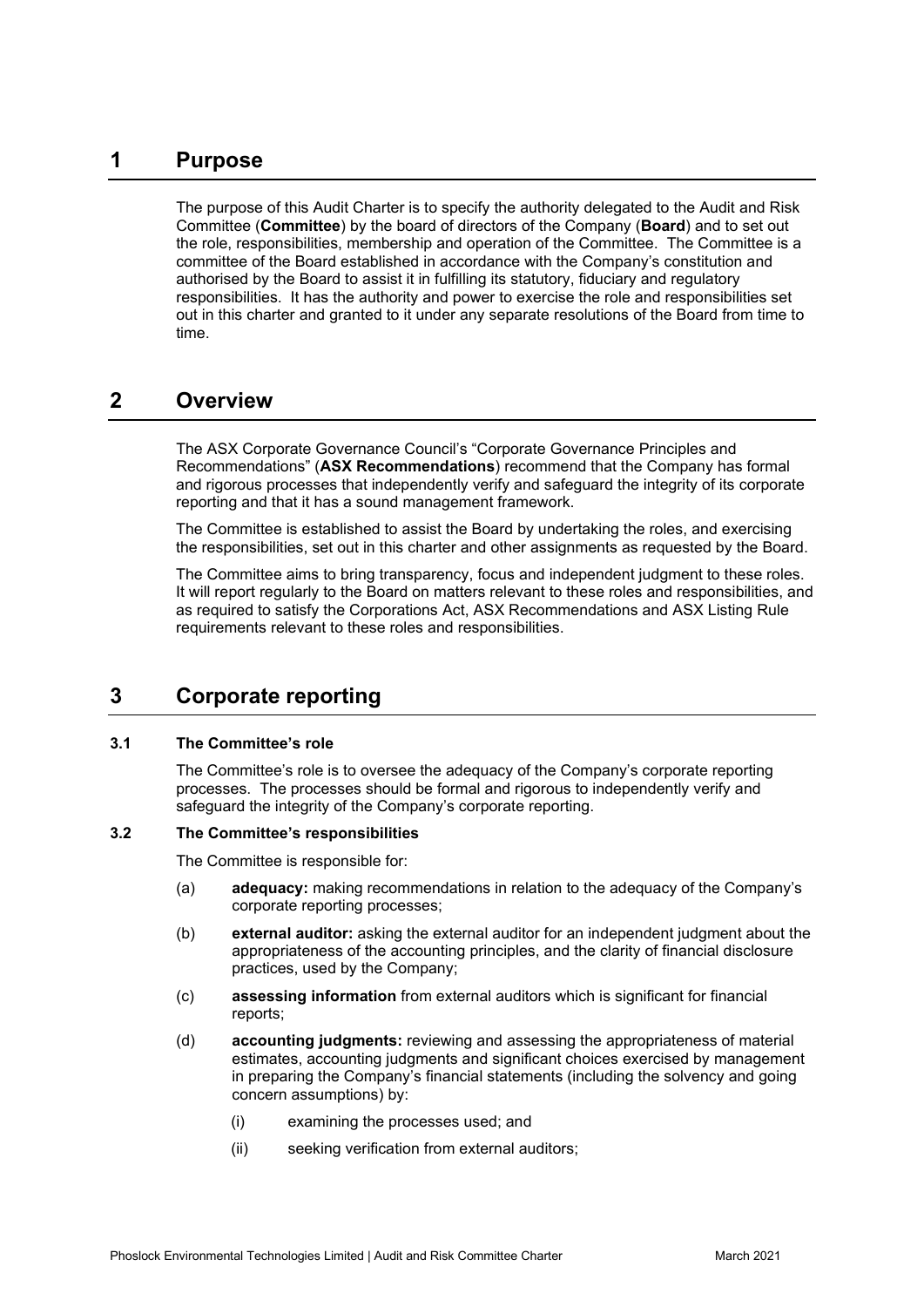# **1 Purpose**

The purpose of this Audit Charter is to specify the authority delegated to the Audit and Risk Committee (**Committee**) by the board of directors of the Company (**Board**) and to set out the role, responsibilities, membership and operation of the Committee. The Committee is a committee of the Board established in accordance with the Company's constitution and authorised by the Board to assist it in fulfilling its statutory, fiduciary and regulatory responsibilities. It has the authority and power to exercise the role and responsibilities set out in this charter and granted to it under any separate resolutions of the Board from time to time.

## **2 Overview**

The ASX Corporate Governance Council's "Corporate Governance Principles and Recommendations" (**ASX Recommendations**) recommend that the Company has formal and rigorous processes that independently verify and safeguard the integrity of its corporate reporting and that it has a sound management framework.

The Committee is established to assist the Board by undertaking the roles, and exercising the responsibilities, set out in this charter and other assignments as requested by the Board.

The Committee aims to bring transparency, focus and independent judgment to these roles. It will report regularly to the Board on matters relevant to these roles and responsibilities, and as required to satisfy the Corporations Act, ASX Recommendations and ASX Listing Rule requirements relevant to these roles and responsibilities.

# **3 Corporate reporting**

#### **3.1 The Committee's role**

The Committee's role is to oversee the adequacy of the Company's corporate reporting processes. The processes should be formal and rigorous to independently verify and safeguard the integrity of the Company's corporate reporting.

#### **3.2 The Committee's responsibilities**

The Committee is responsible for:

- (a) **adequacy:** making recommendations in relation to the adequacy of the Company's corporate reporting processes;
- (b) **external auditor:** asking the external auditor for an independent judgment about the appropriateness of the accounting principles, and the clarity of financial disclosure practices, used by the Company;
- (c) **assessing information** from external auditors which is significant for financial reports;
- (d) **accounting judgments:** reviewing and assessing the appropriateness of material estimates, accounting judgments and significant choices exercised by management in preparing the Company's financial statements (including the solvency and going concern assumptions) by:
	- (i) examining the processes used; and
	- (ii) seeking verification from external auditors;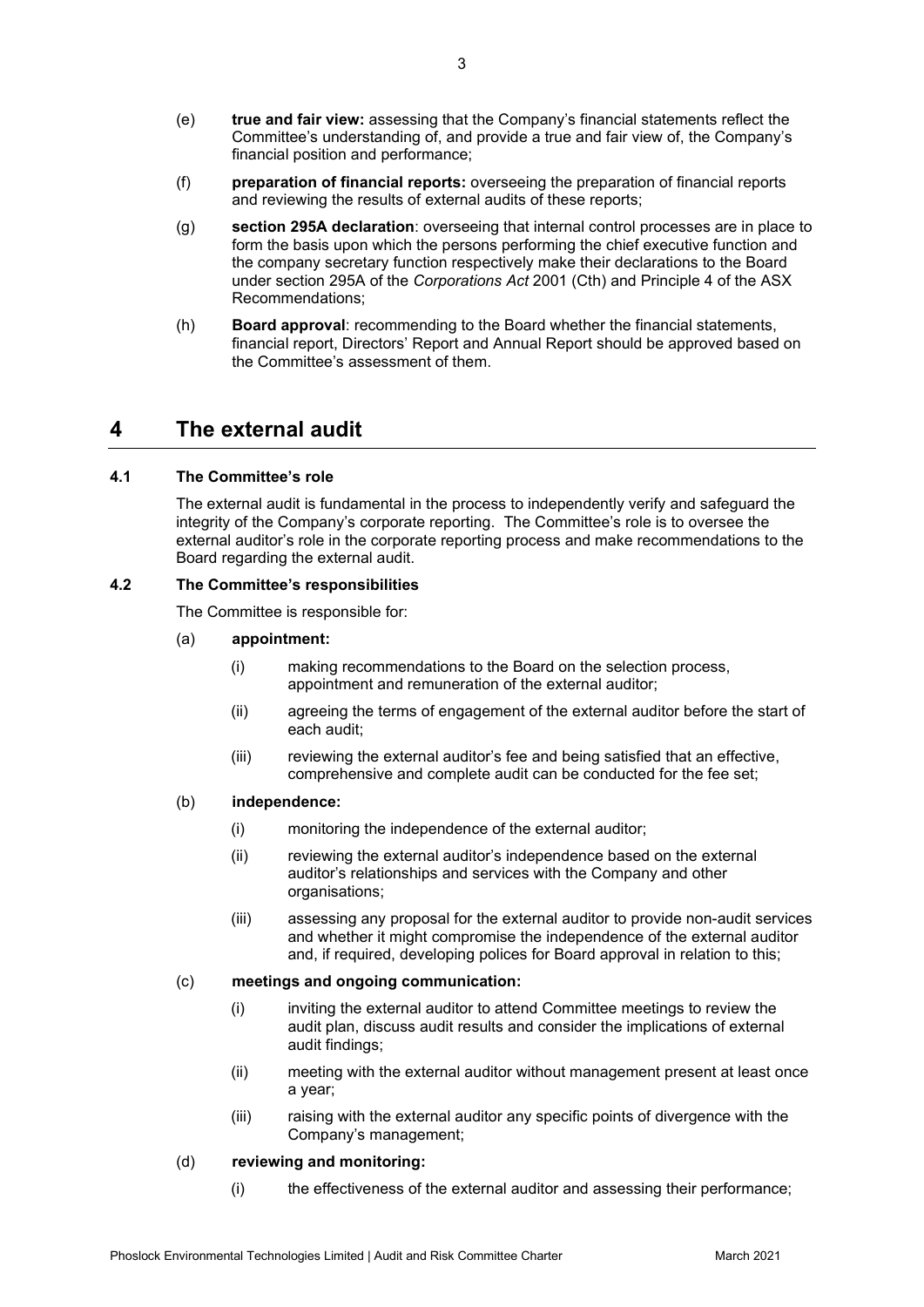- (e) **true and fair view:** assessing that the Company's financial statements reflect the Committee's understanding of, and provide a true and fair view of, the Company's financial position and performance;
- (f) **preparation of financial reports:** overseeing the preparation of financial reports and reviewing the results of external audits of these reports;
- (g) **section 295A declaration**: overseeing that internal control processes are in place to form the basis upon which the persons performing the chief executive function and the company secretary function respectively make their declarations to the Board under section 295A of the *Corporations Act* 2001 (Cth) and Principle 4 of the ASX Recommendations;
- (h) **Board approval**: recommending to the Board whether the financial statements, financial report, Directors' Report and Annual Report should be approved based on the Committee's assessment of them.

### **4 The external audit**

#### **4.1 The Committee's role**

The external audit is fundamental in the process to independently verify and safeguard the integrity of the Company's corporate reporting. The Committee's role is to oversee the external auditor's role in the corporate reporting process and make recommendations to the Board regarding the external audit.

#### **4.2 The Committee's responsibilities**

The Committee is responsible for:

- (a) **appointment:**
	- (i) making recommendations to the Board on the selection process, appointment and remuneration of the external auditor;
	- (ii) agreeing the terms of engagement of the external auditor before the start of each audit;
	- (iii) reviewing the external auditor's fee and being satisfied that an effective, comprehensive and complete audit can be conducted for the fee set;

#### (b) **independence:**

- (i) monitoring the independence of the external auditor;
- (ii) reviewing the external auditor's independence based on the external auditor's relationships and services with the Company and other organisations;
- (iii) assessing any proposal for the external auditor to provide non-audit services and whether it might compromise the independence of the external auditor and, if required, developing polices for Board approval in relation to this;

#### (c) **meetings and ongoing communication:**

- (i) inviting the external auditor to attend Committee meetings to review the audit plan, discuss audit results and consider the implications of external audit findings;
- (ii) meeting with the external auditor without management present at least once a year;
- (iii) raising with the external auditor any specific points of divergence with the Company's management;

#### (d) **reviewing and monitoring:**

(i) the effectiveness of the external auditor and assessing their performance;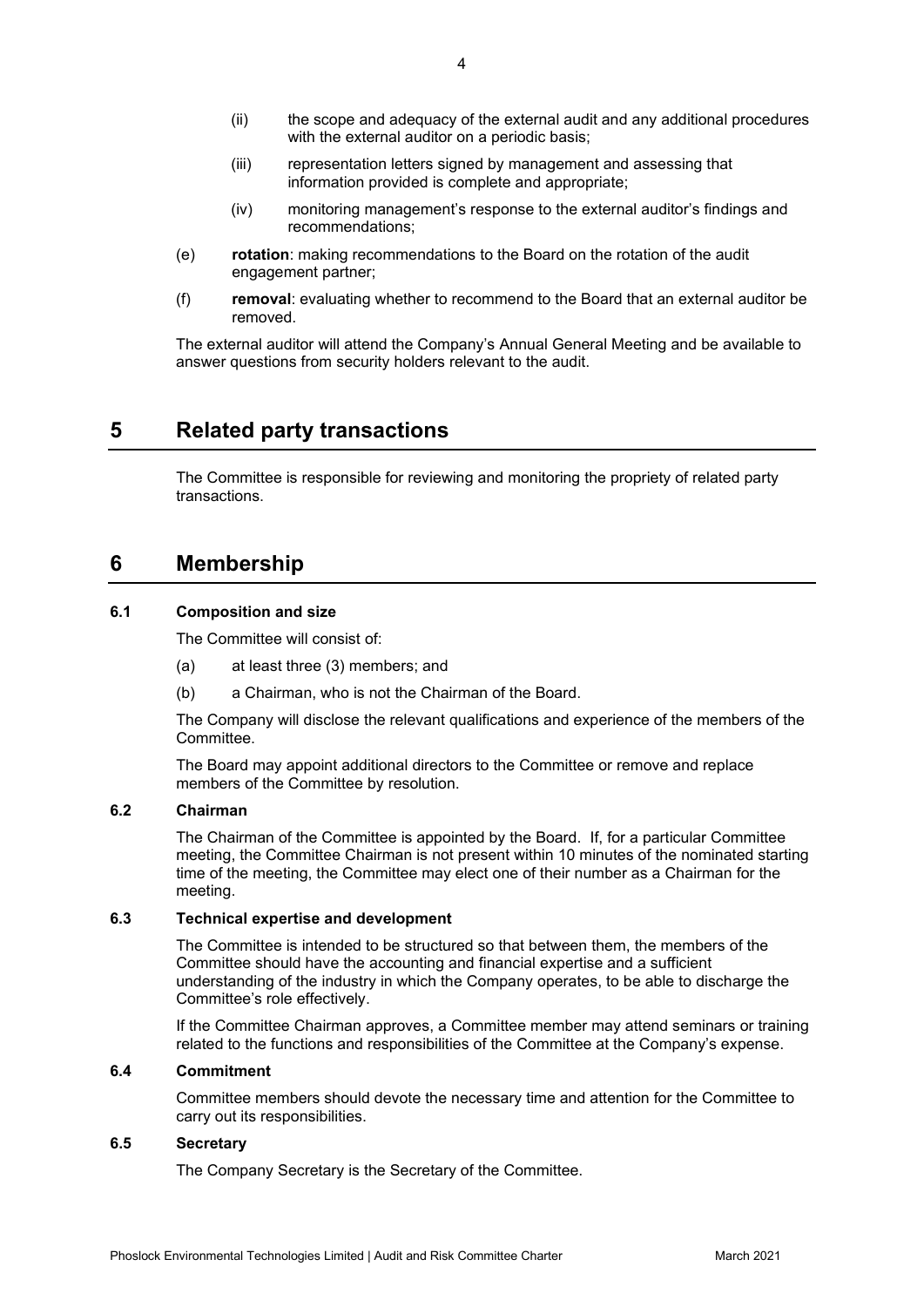- (ii) the scope and adequacy of the external audit and any additional procedures with the external auditor on a periodic basis;
- (iii) representation letters signed by management and assessing that information provided is complete and appropriate;
- (iv) monitoring management's response to the external auditor's findings and recommendations;
- (e) **rotation**: making recommendations to the Board on the rotation of the audit engagement partner;
- (f) **removal**: evaluating whether to recommend to the Board that an external auditor be removed.

The external auditor will attend the Company's Annual General Meeting and be available to answer questions from security holders relevant to the audit.

### **5 Related party transactions**

The Committee is responsible for reviewing and monitoring the propriety of related party transactions.

### **6 Membership**

#### **6.1 Composition and size**

The Committee will consist of:

- (a) at least three (3) members; and
- (b) a Chairman, who is not the Chairman of the Board.

The Company will disclose the relevant qualifications and experience of the members of the Committee.

The Board may appoint additional directors to the Committee or remove and replace members of the Committee by resolution.

#### **6.2 Chairman**

The Chairman of the Committee is appointed by the Board. If, for a particular Committee meeting, the Committee Chairman is not present within 10 minutes of the nominated starting time of the meeting, the Committee may elect one of their number as a Chairman for the meeting.

#### **6.3 Technical expertise and development**

The Committee is intended to be structured so that between them, the members of the Committee should have the accounting and financial expertise and a sufficient understanding of the industry in which the Company operates, to be able to discharge the Committee's role effectively.

If the Committee Chairman approves, a Committee member may attend seminars or training related to the functions and responsibilities of the Committee at the Company's expense.

#### **6.4 Commitment**

Committee members should devote the necessary time and attention for the Committee to carry out its responsibilities.

#### **6.5 Secretary**

The Company Secretary is the Secretary of the Committee.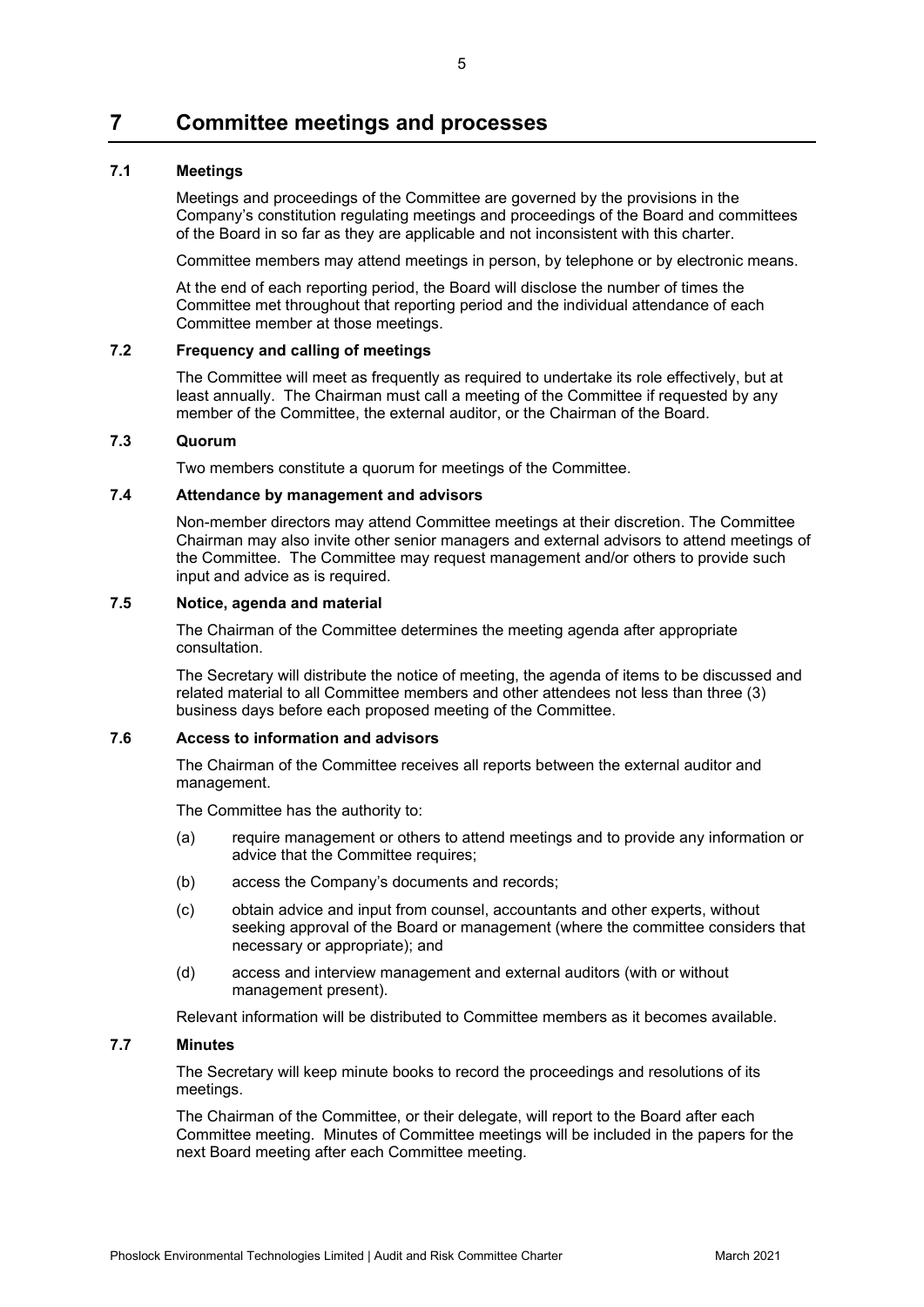# **7 Committee meetings and processes**

#### **7.1 Meetings**

Meetings and proceedings of the Committee are governed by the provisions in the Company's constitution regulating meetings and proceedings of the Board and committees of the Board in so far as they are applicable and not inconsistent with this charter.

Committee members may attend meetings in person, by telephone or by electronic means.

At the end of each reporting period, the Board will disclose the number of times the Committee met throughout that reporting period and the individual attendance of each Committee member at those meetings.

#### **7.2 Frequency and calling of meetings**

The Committee will meet as frequently as required to undertake its role effectively, but at least annually. The Chairman must call a meeting of the Committee if requested by any member of the Committee, the external auditor, or the Chairman of the Board.

#### **7.3 Quorum**

Two members constitute a quorum for meetings of the Committee.

#### **7.4 Attendance by management and advisors**

Non-member directors may attend Committee meetings at their discretion. The Committee Chairman may also invite other senior managers and external advisors to attend meetings of the Committee. The Committee may request management and/or others to provide such input and advice as is required.

#### **7.5 Notice, agenda and material**

The Chairman of the Committee determines the meeting agenda after appropriate consultation.

The Secretary will distribute the notice of meeting, the agenda of items to be discussed and related material to all Committee members and other attendees not less than three (3) business days before each proposed meeting of the Committee.

#### **7.6 Access to information and advisors**

The Chairman of the Committee receives all reports between the external auditor and management.

The Committee has the authority to:

- (a) require management or others to attend meetings and to provide any information or advice that the Committee requires;
- (b) access the Company's documents and records;
- (c) obtain advice and input from counsel, accountants and other experts, without seeking approval of the Board or management (where the committee considers that necessary or appropriate); and
- (d) access and interview management and external auditors (with or without management present).

Relevant information will be distributed to Committee members as it becomes available.

#### **7.7 Minutes**

The Secretary will keep minute books to record the proceedings and resolutions of its meetings.

The Chairman of the Committee, or their delegate, will report to the Board after each Committee meeting. Minutes of Committee meetings will be included in the papers for the next Board meeting after each Committee meeting.